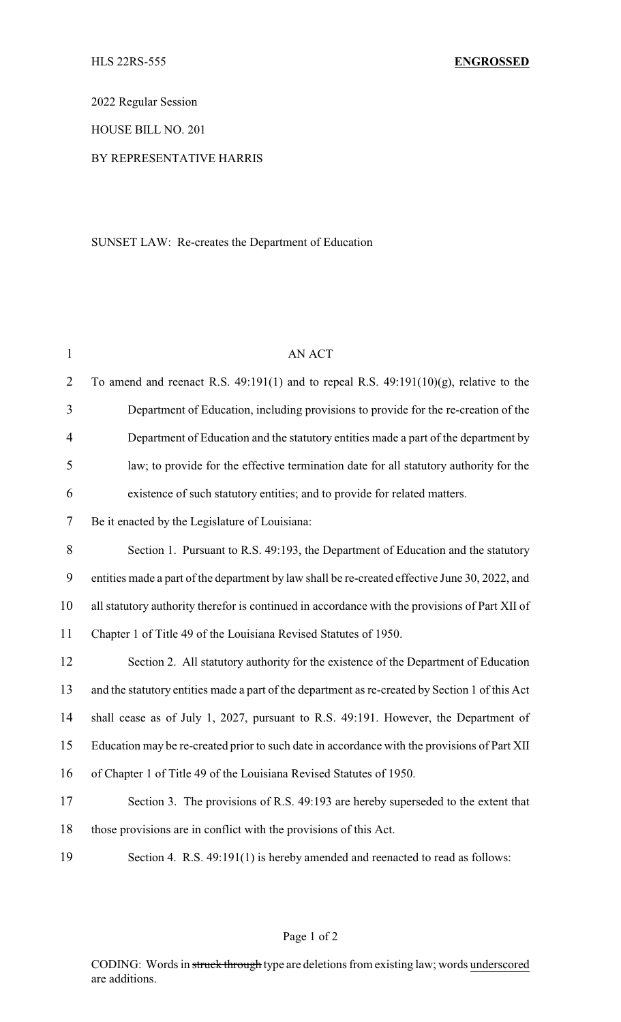2022 Regular Session

HOUSE BILL NO. 201

## BY REPRESENTATIVE HARRIS

## SUNSET LAW: Re-creates the Department of Education

| $\mathbf{1}$             | <b>AN ACT</b>                                                                                   |  |
|--------------------------|-------------------------------------------------------------------------------------------------|--|
| $\overline{2}$           | To amend and reenact R.S. $49:191(1)$ and to repeal R.S. $49:191(10)(g)$ , relative to the      |  |
| 3                        | Department of Education, including provisions to provide for the re-creation of the             |  |
| $\overline{4}$           | Department of Education and the statutory entities made a part of the department by             |  |
| 5                        | law; to provide for the effective termination date for all statutory authority for the          |  |
| 6                        | existence of such statutory entities; and to provide for related matters.                       |  |
| $\overline{\mathcal{L}}$ | Be it enacted by the Legislature of Louisiana:                                                  |  |
| $8\,$                    | Section 1. Pursuant to R.S. 49:193, the Department of Education and the statutory               |  |
| 9                        | entities made a part of the department by law shall be re-created effective June 30, 2022, and  |  |
| 10                       | all statutory authority therefor is continued in accordance with the provisions of Part XII of  |  |
| 11                       | Chapter 1 of Title 49 of the Louisiana Revised Statutes of 1950.                                |  |
| 12                       | Section 2. All statutory authority for the existence of the Department of Education             |  |
| 13                       | and the statutory entities made a part of the department as re-created by Section 1 of this Act |  |
| 14                       | shall cease as of July 1, 2027, pursuant to R.S. 49:191. However, the Department of             |  |
| 15                       | Education may be re-created prior to such date in accordance with the provisions of Part XII    |  |
| 16                       | of Chapter 1 of Title 49 of the Louisiana Revised Statutes of 1950.                             |  |
| 17                       | Section 3. The provisions of R.S. 49:193 are hereby superseded to the extent that               |  |
| 18                       | those provisions are in conflict with the provisions of this Act.                               |  |
| 19                       | Section 4. R.S. 49:191(1) is hereby amended and reenacted to read as follows:                   |  |